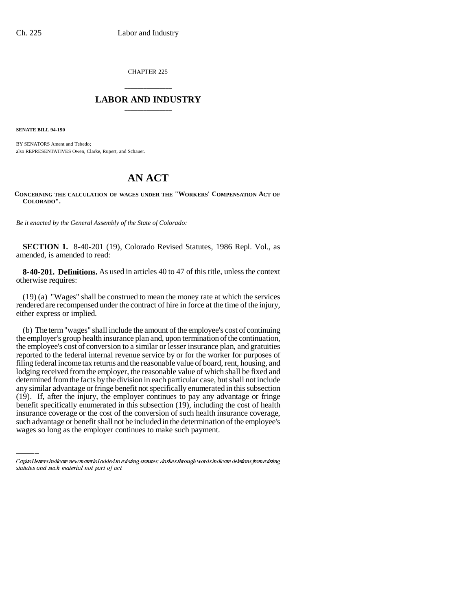CHAPTER 225

## \_\_\_\_\_\_\_\_\_\_\_\_\_\_\_ **LABOR AND INDUSTRY** \_\_\_\_\_\_\_\_\_\_\_\_\_\_\_

**SENATE BILL 94-190**

BY SENATORS Ament and Tebedo; also REPRESENTATIVES Owen, Clarke, Rupert, and Schauer.

## **AN ACT**

## **CONCERNING THE CALCULATION OF WAGES UNDER THE "WORKERS' COMPENSATION ACT OF COLORADO".**

*Be it enacted by the General Assembly of the State of Colorado:*

**SECTION 1.** 8-40-201 (19), Colorado Revised Statutes, 1986 Repl. Vol., as amended, is amended to read:

**8-40-201. Definitions.** As used in articles 40 to 47 of this title, unless the context otherwise requires:

(19) (a) "Wages" shall be construed to mean the money rate at which the services rendered are recompensed under the contract of hire in force at the time of the injury, either express or implied.

(19). If, after the injury, the employer continues to pay any advantage or fringe (b) The term "wages" shall include the amount of the employee's cost of continuing the employer's group health insurance plan and, upon termination of the continuation, the employee's cost of conversion to a similar or lesser insurance plan, and gratuities reported to the federal internal revenue service by or for the worker for purposes of filing federal income tax returns and the reasonable value of board, rent, housing, and lodging received from the employer, the reasonable value of which shall be fixed and determined from the facts by the division in each particular case, but shall not include any similar advantage or fringe benefit not specifically enumerated in this subsection benefit specifically enumerated in this subsection (19), including the cost of health insurance coverage or the cost of the conversion of such health insurance coverage, such advantage or benefit shall not be included in the determination of the employee's wages so long as the employer continues to make such payment.

Capital letters indicate new material added to existing statutes; dashes through words indicate deletions from existing statutes and such material not part of act.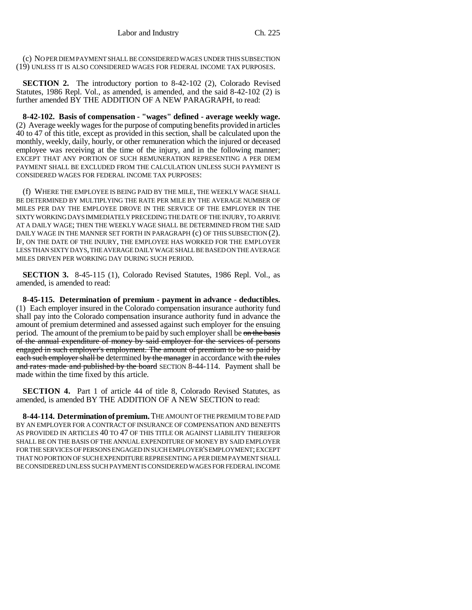(c) NO PER DIEM PAYMENT SHALL BE CONSIDERED WAGES UNDER THIS SUBSECTION (19) UNLESS IT IS ALSO CONSIDERED WAGES FOR FEDERAL INCOME TAX PURPOSES.

**SECTION 2.** The introductory portion to 8-42-102 (2), Colorado Revised Statutes, 1986 Repl. Vol., as amended, is amended, and the said 8-42-102 (2) is further amended BY THE ADDITION OF A NEW PARAGRAPH, to read:

**8-42-102. Basis of compensation - "wages" defined - average weekly wage.** (2) Average weekly wages for the purpose of computing benefits provided in articles 40 to 47 of this title, except as provided in this section, shall be calculated upon the monthly, weekly, daily, hourly, or other remuneration which the injured or deceased employee was receiving at the time of the injury, and in the following manner; EXCEPT THAT ANY PORTION OF SUCH REMUNERATION REPRESENTING A PER DIEM PAYMENT SHALL BE EXCLUDED FROM THE CALCULATION UNLESS SUCH PAYMENT IS CONSIDERED WAGES FOR FEDERAL INCOME TAX PURPOSES:

(f) WHERE THE EMPLOYEE IS BEING PAID BY THE MILE, THE WEEKLY WAGE SHALL BE DETERMINED BY MULTIPLYING THE RATE PER MILE BY THE AVERAGE NUMBER OF MILES PER DAY THE EMPLOYEE DROVE IN THE SERVICE OF THE EMPLOYER IN THE SIXTY WORKING DAYS IMMEDIATELY PRECEDING THE DATE OF THE INJURY, TO ARRIVE AT A DAILY WAGE; THEN THE WEEKLY WAGE SHALL BE DETERMINED FROM THE SAID DAILY WAGE IN THE MANNER SET FORTH IN PARAGRAPH (c) OF THIS SUBSECTION (2). IF, ON THE DATE OF THE INJURY, THE EMPLOYEE HAS WORKED FOR THE EMPLOYER LESS THAN SIXTY DAYS, THE AVERAGE DAILY WAGE SHALL BE BASED ON THE AVERAGE MILES DRIVEN PER WORKING DAY DURING SUCH PERIOD.

**SECTION 3.** 8-45-115 (1), Colorado Revised Statutes, 1986 Repl. Vol., as amended, is amended to read:

**8-45-115. Determination of premium - payment in advance - deductibles.** (1) Each employer insured in the Colorado compensation insurance authority fund shall pay into the Colorado compensation insurance authority fund in advance the amount of premium determined and assessed against such employer for the ensuing period. The amount of the premium to be paid by such employer shall be on the basis of the annual expenditure of money by said employer for the services of persons engaged in such employer's employment. The amount of premium to be so paid by each such employer shall be determined by the manager in accordance with the rules and rates made and published by the board SECTION 8-44-114. Payment shall be made within the time fixed by this article.

**SECTION 4.** Part 1 of article 44 of title 8, Colorado Revised Statutes, as amended, is amended BY THE ADDITION OF A NEW SECTION to read:

**8-44-114. Determination of premium.** THE AMOUNT OF THE PREMIUM TO BE PAID BY AN EMPLOYER FOR A CONTRACT OF INSURANCE OF COMPENSATION AND BENEFITS AS PROVIDED IN ARTICLES 40 TO 47 OF THIS TITLE OR AGAINST LIABILITY THEREFOR SHALL BE ON THE BASIS OF THE ANNUAL EXPENDITURE OF MONEY BY SAID EMPLOYER FOR THE SERVICES OF PERSONS ENGAGED IN SUCH EMPLOYER'S EMPLOYMENT; EXCEPT THAT NO PORTION OF SUCH EXPENDITURE REPRESENTING A PER DIEM PAYMENT SHALL BE CONSIDERED UNLESS SUCH PAYMENT IS CONSIDERED WAGES FOR FEDERAL INCOME